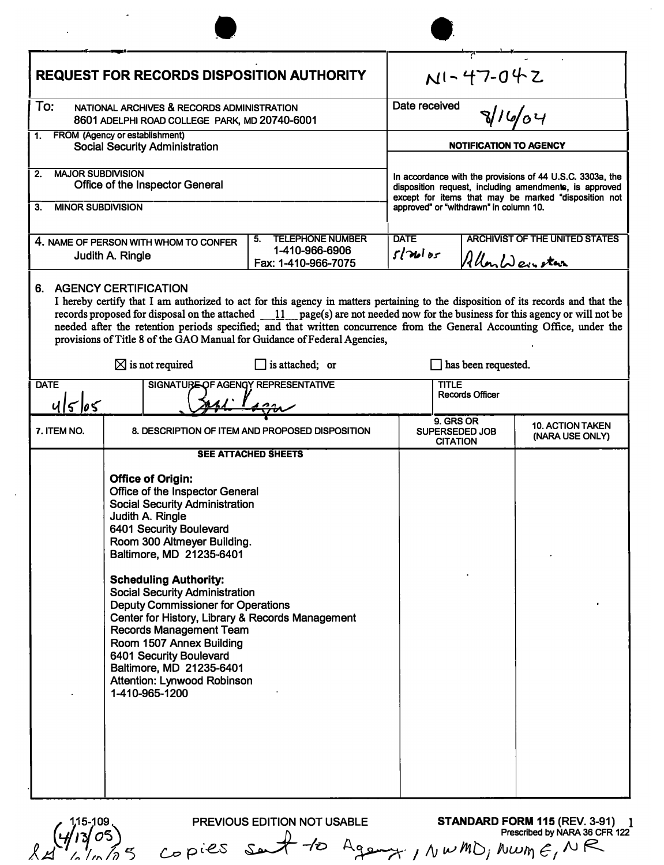| <b>REQUEST FOR RECORDS DISPOSITION AUTHORITY</b>                                                                                                                                                                                                                                                                                                                                                                                                                                                                                                                                                    |                                                                                                                                                                                                                                                                                                                                                                                                                                                                                                        |                                                 | $N1 - 47 - 042$                                                                                                                                                                                                       |                                                                  |                                            |  |
|-----------------------------------------------------------------------------------------------------------------------------------------------------------------------------------------------------------------------------------------------------------------------------------------------------------------------------------------------------------------------------------------------------------------------------------------------------------------------------------------------------------------------------------------------------------------------------------------------------|--------------------------------------------------------------------------------------------------------------------------------------------------------------------------------------------------------------------------------------------------------------------------------------------------------------------------------------------------------------------------------------------------------------------------------------------------------------------------------------------------------|-------------------------------------------------|-----------------------------------------------------------------------------------------------------------------------------------------------------------------------------------------------------------------------|------------------------------------------------------------------|--------------------------------------------|--|
| To:<br>NATIONAL ARCHIVES & RECORDS ADMINISTRATION<br>8601 ADELPHI ROAD COLLEGE PARK, MD 20740-6001                                                                                                                                                                                                                                                                                                                                                                                                                                                                                                  |                                                                                                                                                                                                                                                                                                                                                                                                                                                                                                        |                                                 | Date received<br>81664                                                                                                                                                                                                |                                                                  |                                            |  |
| FROM (Agency or establishment)<br>1.<br><b>Social Security Administration</b>                                                                                                                                                                                                                                                                                                                                                                                                                                                                                                                       |                                                                                                                                                                                                                                                                                                                                                                                                                                                                                                        |                                                 | NOTIFICATION TO AGENCY                                                                                                                                                                                                |                                                                  |                                            |  |
| <b>MAJOR SUBDIVISION</b><br>2.<br>Office of the Inspector General<br>3.<br><b>MINOR SUBDIVISION</b>                                                                                                                                                                                                                                                                                                                                                                                                                                                                                                 |                                                                                                                                                                                                                                                                                                                                                                                                                                                                                                        |                                                 | In accordance with the provisions of 44 U.S.C. 3303a, the<br>disposition request, including amendments, is approved<br>except for items that may be marked "disposition not<br>approved" or "withdrawn" in column 10. |                                                                  |                                            |  |
| <b>TELEPHONE NUMBER</b><br>5.<br>4. NAME OF PERSON WITH WHOM TO CONFER<br>1-410-966-6906<br>Judith A. Ringle<br>Fax: 1-410-966-7075                                                                                                                                                                                                                                                                                                                                                                                                                                                                 |                                                                                                                                                                                                                                                                                                                                                                                                                                                                                                        |                                                 | <b>DATE</b>                                                                                                                                                                                                           | <b>ARCHIVIST OF THE UNITED STATES</b><br>5/366<br>Allon Weinstan |                                            |  |
|                                                                                                                                                                                                                                                                                                                                                                                                                                                                                                                                                                                                     | 6. AGENCY CERTIFICATION<br>I hereby certify that I am authorized to act for this agency in matters pertaining to the disposition of its records and that the<br>records proposed for disposal on the attached $11$ page(s) are not needed now for the business for this agency or will not be<br>needed after the retention periods specified; and that written concurrence from the General Accounting Office, under the<br>provisions of Title 8 of the GAO Manual for Guidance of Federal Agencies, |                                                 |                                                                                                                                                                                                                       |                                                                  |                                            |  |
| $\boxtimes$ is not required<br>$\Box$ is attached; or                                                                                                                                                                                                                                                                                                                                                                                                                                                                                                                                               |                                                                                                                                                                                                                                                                                                                                                                                                                                                                                                        |                                                 | has been requested.                                                                                                                                                                                                   |                                                                  |                                            |  |
| <b>DATE</b><br>SIGNATURE OF AGENGY REPRESENTATIVE<br>ulslos                                                                                                                                                                                                                                                                                                                                                                                                                                                                                                                                         |                                                                                                                                                                                                                                                                                                                                                                                                                                                                                                        |                                                 | <b>TITLE</b><br><b>Records Officer</b>                                                                                                                                                                                |                                                                  |                                            |  |
| 7. ITEM NO.                                                                                                                                                                                                                                                                                                                                                                                                                                                                                                                                                                                         |                                                                                                                                                                                                                                                                                                                                                                                                                                                                                                        | 8. DESCRIPTION OF ITEM AND PROPOSED DISPOSITION |                                                                                                                                                                                                                       | 9. GRS OR<br><b>SUPERSEDED JOB</b><br><b>CITATION</b>            | <b>10. ACTION TAKEN</b><br>(NARA USE ONLY) |  |
| <b>SEE ATTACHED SHEETS</b><br><b>Office of Origin:</b><br>Office of the Inspector General<br><b>Social Security Administration</b><br>Judith A. Ringle<br>6401 Security Boulevard<br>Room 300 Altmeyer Building.<br>Baltimore, MD 21235-6401<br><b>Scheduling Authority:</b><br><b>Social Security Administration</b><br><b>Deputy Commissioner for Operations</b><br>Center for History, Library & Records Management<br><b>Records Management Team</b><br>Room 1507 Annex Building<br>6401 Security Boulevard<br>Baltimore, MD 21235-6401<br><b>Attention: Lynwood Robinson</b><br>1-410-965-1200 |                                                                                                                                                                                                                                                                                                                                                                                                                                                                                                        |                                                 |                                                                                                                                                                                                                       |                                                                  |                                            |  |

るち X

**PREVIOUS EDITION NOT USABLE STANDARD FORM 115 (REV. 3-91) Prescribed by NARA 36 CFR 122**   $_{\mathcal{L}\sigma}$  pies set to Age-y, ,  $\wedge$  w  $M$ *D*,  $\wedge$  *lwm*  $\epsilon, \wedge \mathsf{R}$ **1**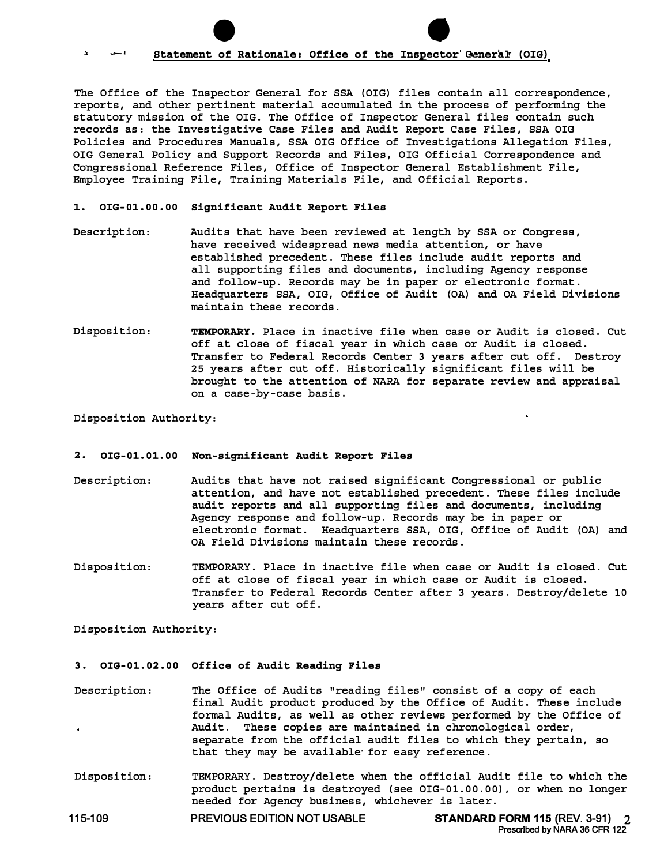## • • -· **Statement of Rationale: Office of the Inspector'Granera� (OIG)**

The Office of the Inspector General for SSA (OIG) files contain all correspondence, reports, and other pertinent material accumulated in the process of performing the statutory mission of the OIG. The Office of Inspector General files contain such records as: the Investigative Case Files and Audit Report Case Files, SSA OIG Policies and Procedures Manuals, SSA OIG Office of Investigations Allegation Files, OIG General Policy and Support Records and Files, OIG Official Correspondence and Congressional Reference Files, Office of Inspector General Establishment File, Employee Training File, Training Materials File, and Official Reports.

#### **1. [OIG-01.00.00](https://OIG-01.00.00) Significant Audit Report Files**

- Description: Audits that have been reviewed at length by SSA or Congress, have received widespread news media attention, or have established precedent. These files include audit reports and all supporting files and documents, including Agency response and follow-up. Records may be in paper or electronic format. Headquarters SSA, OIG, Office of Audit (OA) and OA Field Divisions maintain these records.
- Disposition: **TEMPORARY.** Place in inactive file when case or Audit is closed. Cut off at close of fiscal year in which case or Audit is closed. Transfer to Federal Records Center 3 years after cut off. Destroy 25 years after cut off. Historically significant files will be brought to the attention of NARA for separate review and appraisal on a case-by-case basis.

Disposition Authority:

#### **2. [OIG-01.01.00](https://OIG-01.01.00) Non-significant Audit Report Files**

- Description: Audits that have not raised significant Congressional or public attention, and have not established precedent. These files include audit reports and all supporting files and documents, including Agency response and follow-up. Records may be in paper or electronic format. Headquarters SSA, OIG, Office of Audit (OA) and OA Field Divisions maintain these records.
- Disposition: TEMPORARY. Place in inactive file when case or Audit is closed. Cut off at close of fiscal year in which case or Audit is closed. Transfer to Federal Records Center after 3 years. Destroy/delete 10 years after cut off.

Disposition Authority:

### **3. [OIG-01.02.00](https://OIG-01.02.00) Office of Audit Reading Files**

- Description: The Office of Audits "reading files" consist of a copy of each final Audit product produced by the Office of Audit. These include formal Audits, as well as other reviews performed by the Office of Audit. These copies are maintained in chronological order, separate from the official audit files to which they pertain, so that they may be available· for easy reference.
- Disposition: TEMPORARY. Destroy/delete when the official Audit file to which the product pertains is destroyed (see [OIG-01.00.00](https://OIG-01.00.00)), or when no longer needed for Agency business, whichever is later.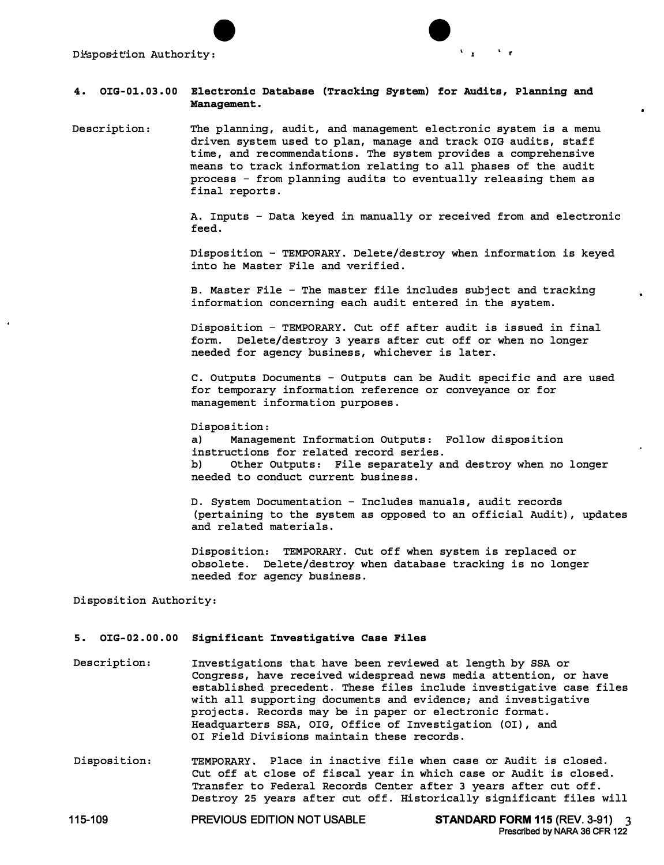

# **4. [OIG-01.03.00](https://OIG-01.03.00) Electronic Database (Tracking System) for Audits, Planning and Management.**

Description: The planning, audit, and management electronic system is a menu driven system used to plan, manage and track OIG audits, staff time, and recommendations. The system provides a comprehensive means to track information relating to all phases of the audit process - from planning audits to eventually releasing them as final reports.

> A. Inputs - Data keyed in manually or received from and electronic feed.

Disposition - TEMPORARY. Delete/destroy when information is keyed into he Master File and verified.

B. Master File - The master file includes subject and tracking information concerning each audit entered in the system.

Disposition - TEMPORARY. Cut off after audit is issued in final form. Delete/destroy 3 years after cut off or when no longer needed for agency business, whichever is later.

C. Outputs Documents - Outputs can be Audit specific and are used for temporary information reference or conveyance or for management information purposes.

Disposition:<br>a) Manage

Management Information Outputs: Follow disposition instructions for related record series.<br>b) Other Outputs: File separately a b) Other Outputs: File separately and destroy when no longer needed to conduct current business.

D. System Documentation - Includes manuals, audit records (pertaining to the system as opposed to an official Audit), updates and related materials.

Disposition: TEMPORARY. Cut off when system is replaced or obsolete. Delete/destroy when database tracking is no longer needed for agency business.

Disposition Authority:

## **5. [OIG-02.00.00](https://OIG-02.00.00) Significant Investigative Case Files**

- Description: Investigations that have been reviewed at length by SSA or Congress, have received widespread news media attention, or have established precedent. These files include investigative case files with all supporting documents and evidence; and investigative projects. Records may be in paper or electronic format. Headquarters SSA, OIG, Office of Investigation (OI), and OI Field Divisions maintain these records.
- Disposition: TEMPORARY. Place in inactive file when case or Audit is closed. Cut off at close of fiscal year in which case or Audit is closed. Transfer to Federal Records Center after 3 years after cut off. Destroy 25 years after cut off. Historically significant files will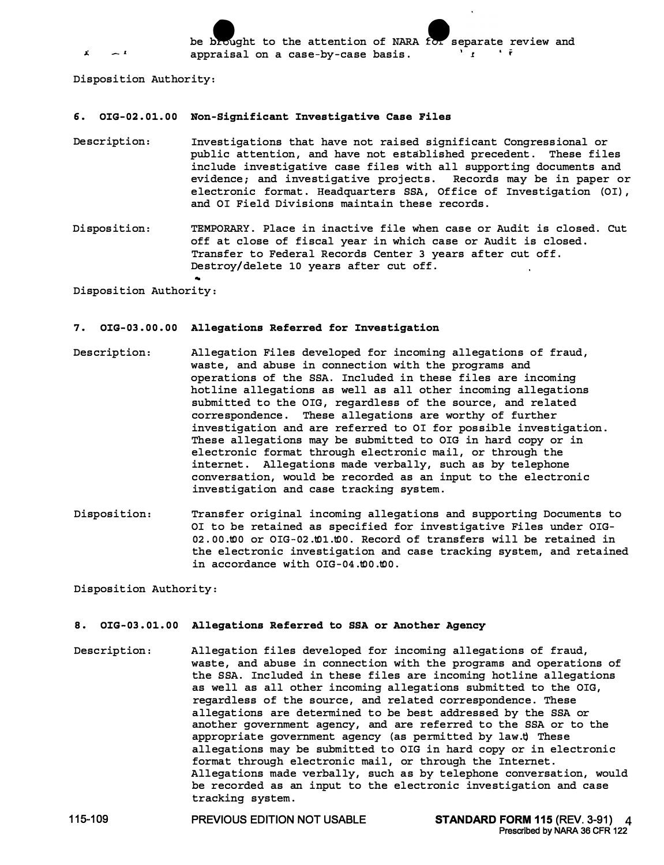be brought to the attention of NARA for separate review and annraisal on a case-bv-case basis. *- L* appraisal on a case-by-case basis. *l* **r** 

Disposition Authority:

### **6. [OIG-02.01.00](https://OIG-02.01.00) Non-Significant Investigative Case Files**

- Description: Investigations that have not raised significant Congressional or public attention, and have not established precedent. These files include investigative case files with all supporting documents and evidence; and investigative projects. Records may be in paper or electronic format. Headquarters SSA, Office of Investigation (OI), and OI Field Divisions maintain these records.
- Disposition: TEMPORARY. Place in inactive file when case or Audit is closed. Cut off at close of fiscal year in which case or Audit is closed. Transfer to Federal Records Center 3 years after cut off. Destroy/delete 10 years after cut off.

Disposition Authority:

#### **7. [OIG-03.00.00](https://OIG-03.00.00) Allegations Referred for Investigation**

- Description: Allegation Files developed for incoming allegations of fraud, waste, and abuse in connection with the programs and operations of the SSA. Included in these files are incoming hotline allegations as well as all other incoming allegations submitted to the OIG, regardless of the source, and related correspondence. These allegations are worthy of further investigation and are referred to OI for possible investigation. These allegations may be submitted to OIG in hard copy or in electronic format through electronic mail, or through the internet. Allegations made verbally, such as by telephone conversation, would be recorded as an input to the electronic investigation and case tracking system.
- Disposition: Transfer original incoming allegations and supporting Documents to OI to be retained as specified for investigative Files under OIG-02.00.t00 or OIG-02.t01.t00. Record of transfers will be retained in the electronic investigation and case tracking system, and retained in accordance with OIG-04.t00.t00.

Disposition Authority:

### **8. [OIG-03.01.00](https://OIG-03.01.00) Allegations Referred to SSA or Another Agency**

Description: Allegation files developed for incoming allegations of fraud, waste, and abuse in connection with the programs and operations of the SSA. Included in these files are incoming hotline allegations as well as all other incoming allegations submitted to the OIG, regardless of the source, and related correspondence. These allegations are determined to be best addressed by the SSA or another government agency, and are referred to the SSA or to the appropriate government agency (as permitted by law.t) These allegations may be submitted to OIG in hard copy or in electronic format through electronic mail, or through the Internet. Allegations made verbally, such as by telephone conversation, would be recorded as an input to the electronic investigation and case tracking system.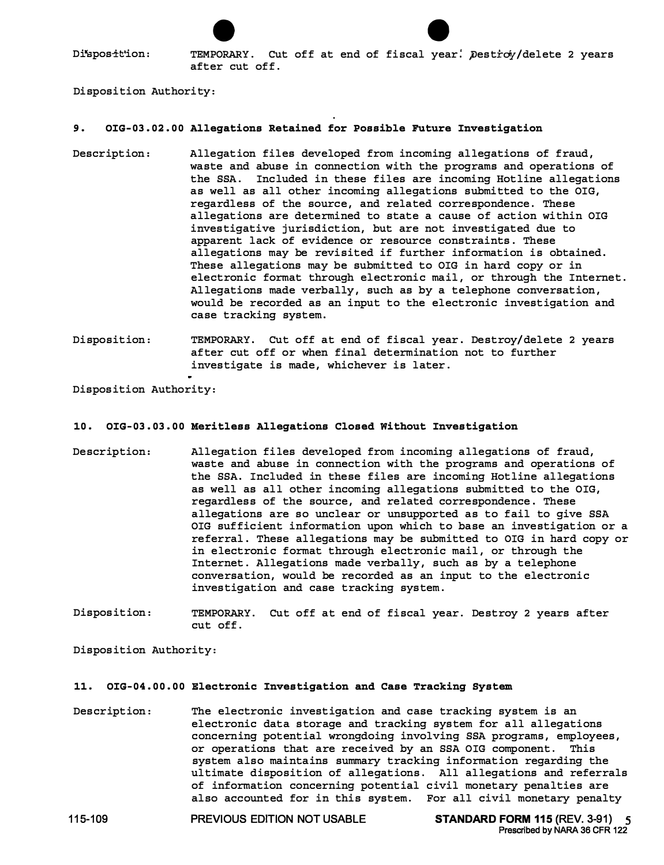er and the settion:<br>Disposition: TEMPORARY. Cut off at end of fiscal year: Destroy/delete 2 years after cut off.

Disposition Authority:

### **9. [OIG-03.02.00](https://OIG-03.02.00) Allegations Retained for Possible Future Investigation**

- Description: Allegation files developed from incoming allegations of fraud, waste and abuse in connection with the programs and operations of the SSA. Included in these files are incoming Hotline allegations as well as all other incoming allegations submitted to the OIG, regardless of the source, and related correspondence. These allegations are determined to state a cause of action within OIG investigative jurisdiction, but are not investigated due to apparent lack of evidence or resource constraints. These allegations may be revisited if further information is obtained. These allegations may be submitted to OIG in hard copy or in electronic format through electronic mail, or through the Internet. Allegations made verbally, such as by a telephone conversation, would be recorded as an input to the electronic investigation and case tracking system.
- Disposition: TEMPORARY. Cut off at end of fiscal year. Destroy/delete 2 years after cut off or when final determination not to further investigate is made, whichever is later.

Disposition Authority:

### **10. [OIG-03.03.00](https://OIG-03.03.00) Meritless Allegations Closed Without Investigation**

- Description: Allegation files developed from incoming allegations of fraud, waste and abuse in connection with the programs and operations of the SSA. Included in these files are incoming Hotline allegations as well as all other incoming allegations submitted to the OIG, regardless of the source, and related correspondence. These allegations are so unclear or unsupported as to fail to give SSA OIG sufficient information upon which to base an investigation or a referral. These allegations may be submitted to OIG in hard copy or in electronic format through electronic mail, or through the Internet. Allegations made verbally, such as by a telephone conversation, would be recorded as an input to the electronic investigation and case tracking system.
- Disposition: TEMPORARY. Cut off at end of fiscal year. Destroy 2 years after cut off.

Disposition Authority:

# **11. [OIG-04.00.00](https://OIG-04.00.00) Electronic Investigation and Case Tracking System**

Description: The electronic investigation and case tracking system is an electronic data storage and tracking system for all allegations concerning potential wrongdoing involving SSA programs, employees, or operations that are received by an SSA OIG component. This system also maintains summary tracking information regarding the ultimate disposition of allegations. All allegations and referrals of information concerning potential civil monetary penalties are also accounted for in this system. For all civil monetary penalty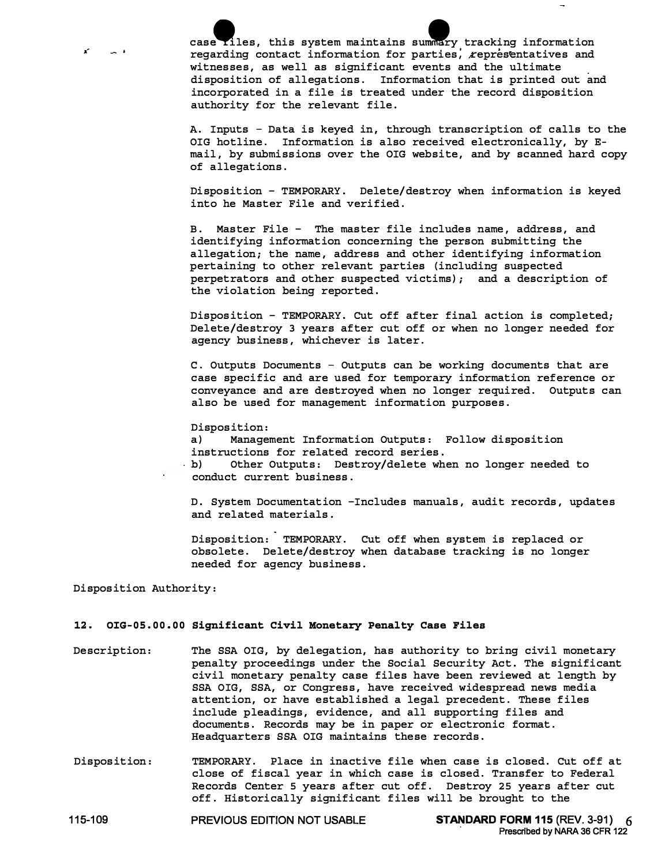case riles, this system maintains summary tracking information<br>regarding contact information for parties, representatives and witnesses, as well as significant events and the ultimate disposition of allegations. Information that is printed out and incorporated in a file is treated under the record disposition authority for the relevant file.

 $\rightarrow$ 

A. Inputs - Data is keyed in, through transcription of calls to the OIG hotline. Information is also received electronically, by Email, by submissions over the OIG website, and by scanned hard copy of allegations.

Disposition - TEMPORARY. Delete/destroy when information is keyed into he Master File and verified.

B. Master File - The master file includes name, address, and identifying information concerning the person submitting the allegation; the name, address and other identifying information pertaining to other relevant parties (including suspected perpetrators and other suspected victims); and a description of the violation being reported.

Disposition - TEMPORARY. Cut off after final action is completed; Delete/destroy 3 years after cut off or when no longer needed for agency business, whichever is later.

C. Outputs Documents - Outputs can be working documents that are case specific and are used for temporary information reference or conveyance and are destroyed when no longer required. Outputs can also be used for management information purposes.

Disposition:<br>a) Manage

Management Information Outputs: Follow disposition

instructions for related record series.<br>b) Other Outputs: Destroy/delete wh Other Outputs: Destroy/delete when no longer needed to conduct current business.

D. System Documentation -Includes manuals, audit records, updates and related materials.

Disposition: TEMPORARY. Cut off when system is replaced or obsolete. Delete/destroy when database tracking is no longer needed for agency business.

Disposition Authority:

#### **12. [OIG-05.00.00](https://OIG-05.00.00) Significant Civil Monetary Penalty Case Files**

- Description: The SSA OIG, by delegation, has authority to bring civil monetary penalty proceedings under the Social Security Act. The significant civil monetary penalty case files have been reviewed at length by SSA OIG, SSA, or Congress, have received widespread news media attention, or have established a legal precedent. These files include pleadings, evidence, and all supporting files and documents. Records may be in paper or electronic format. Headquarters SSA OIG maintains these records.
- Disposition: TEMPORARY. Place in inactive file when case is closed. Cut off at close of fiscal year in which case is closed. Transfer to Federal Records Center 5 years after cut off. Destroy 25 years after cut off. Historically significant files will be brought to the

**115-109 PREVIOUS EDITION NOT USABLE STANDARD FORM 115 (REV. 3-91) . 6**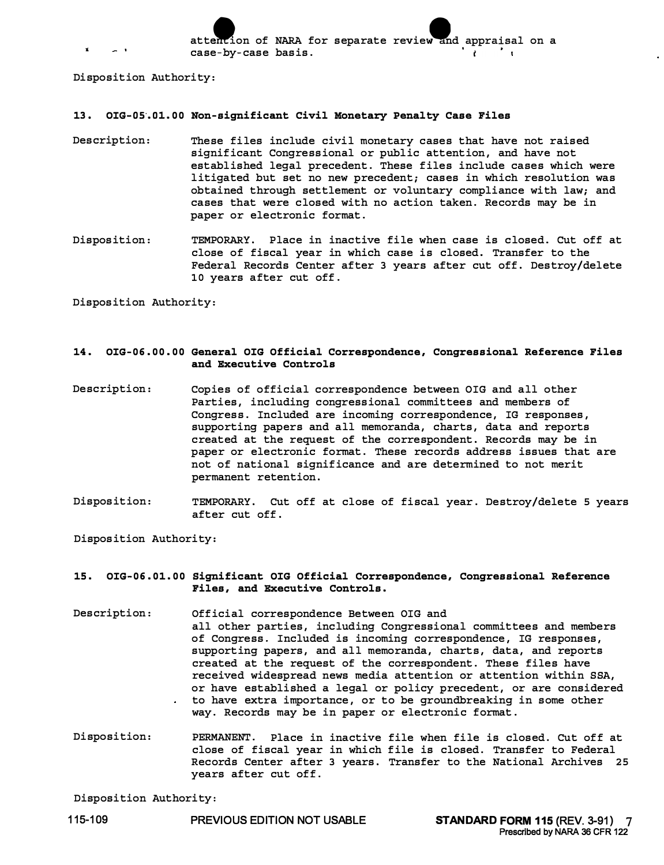attention of NARA for separate review and appraisal on a case-by-case basis.

Disposition Authority:

#### **13. OIG-os·. Ol. 00 Non-significant Civil Monetary Penalty Case Files**

- Description: These files include civil monetary cases that have not raised significant Congressional or public attention, and have not established legal precedent. These files include cases which were litigated but set no new precedent; cases in which resolution was obtained through settlement or voluntary compliance with law; and cases that were closed with no action taken. Records may be in paper or electronic format.
- Disposition: TEMPORARY. Place in inactive file when case is closed. Cut off at close of fiscal year in which case is closed. Transfer to the Federal Records Center after 3 years after cut off. Destroy/delete 10 years after cut off.

Disposition Authority:

## **14. OIG-06. 00. 00 General OIG Official Correspondence, Congressional Reference Files and Executive Controls**

- Description: Copies of official correspondence between OIG and all other Parties, including congressional committees and members of Congress. Included are incoming correspondence, IG responses, supporting papers and all memoranda, charts, data and reports created at the request of the correspondent. Records may be in paper or electronic format. These records address issues that are not of national significance and are determined to not merit permanent retention.
- Disposition: TEMPORARY. Cut off at close of fiscal year. Destroy/delete 5 years after cut off.

Disposition Authority:

### **15. OIG-06. 01. 00 Significant OIG Official Correspondence, Congressional Reference Files, and Executive Controls.**

- Description: Official correspondence Between OIG and all other parties, including Congressional committees and members of Congress. Included is incoming correspondence, IG responses, supporting papers, and all memoranda, charts, data, and reports created at the request of the correspondent. These files have received widespread news media attention or attention within SSA, or have established a legal or policy precedent, or are considered to have extra importance, or to be groundbreaking in some other way. Records may be in paper or electronic format.
- Disposition: PERMANENT. Place in inactive file when file is closed. Cut off at close of fiscal year in which file is closed. Transfer to Federal Records Center after 3 years. Transfer to the National Archives 25 years after cut off.

Disposition Authority: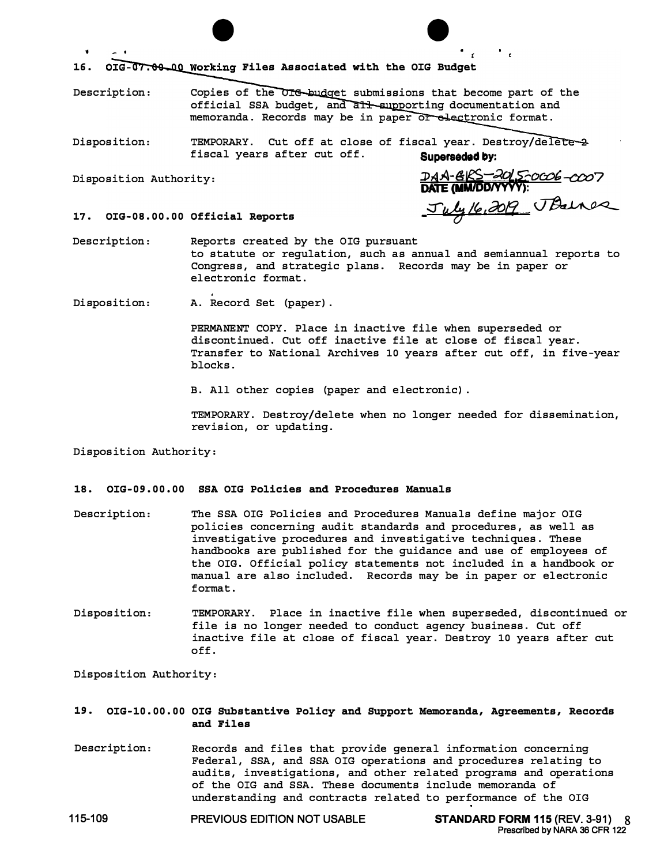$\bullet$  . 16. OIG-07.00 QUO Working Files Associated with the OIG Budget

Description: Copies of the OIG budget submissions that become part of the official SSA budget, and all supporting documentation and memoranda. Records may be in paper or electronic format.

Disposition: TEMPORARY. Cut off at close of fiscal year. Destroy/dele fiscal years after cut off. Superseded by:

Disposition Authority: *.J>z51A-l§-teS-...1ol,S;-ocob -cco7*  **DATE (MM/DD/YYYY):**  ✓*10] Lte ,aofl . �*

٠.

**17. [OIG-08.00.00](https://OIG-08.00.00)  Official Reports** 

Description: Reports created by the OIG pursuant to statute or regulation, such as annual and semiannual reports to Congress, and strategic plans. Records may be in paper or electronic format.

Disposition: A. Record Set (paper).

PERMANENT COPY. Place in inactive file when superseded or discontinued. Cut off inactive file at close of fiscal year. Transfer to National Archives 10 years after cut off, in five-year blocks.

B. All other copies {paper and electronic).

TEMPORARY. Destroy/delete when no longer needed for dissemination, revision, or updating.

Disposition Authority:

### **18. [OIG-09.00.00](https://OIG-09.00.00) SSA OIG Policies and Procedures Manuals**

- Description: The SSA OIG Policies and Procedures Manuals define major OIG policies concerning audit standards and procedures, as well as investigative procedures and investigative techniques. These handbooks are published for the guidance and use of employees of the OIG. Official policy statements not included in a handbook or manual are also included. Records may be in paper or electronic format.
- Disposition: TEMPORARY. Place in inactive file when superseded, discontinued or file is no longer needed to conduct agency business. Cut off inactive file at close of fiscal year. Destroy 10 years after cut off.

Disposition Authority:

**19. [OIG-10.00.00](https://OIG-10.00.00) OIG Substantive Policy and Support Memoranda, Agreements, Records and Files** 

Description: Records and files that provide general information concerning Federal, SSA, and SSA OIG operations and procedures relating to audits, investigations, and other related programs and operations of the OIG and SSA. These documents include memoranda of understanding and contracts related to performance of the OIG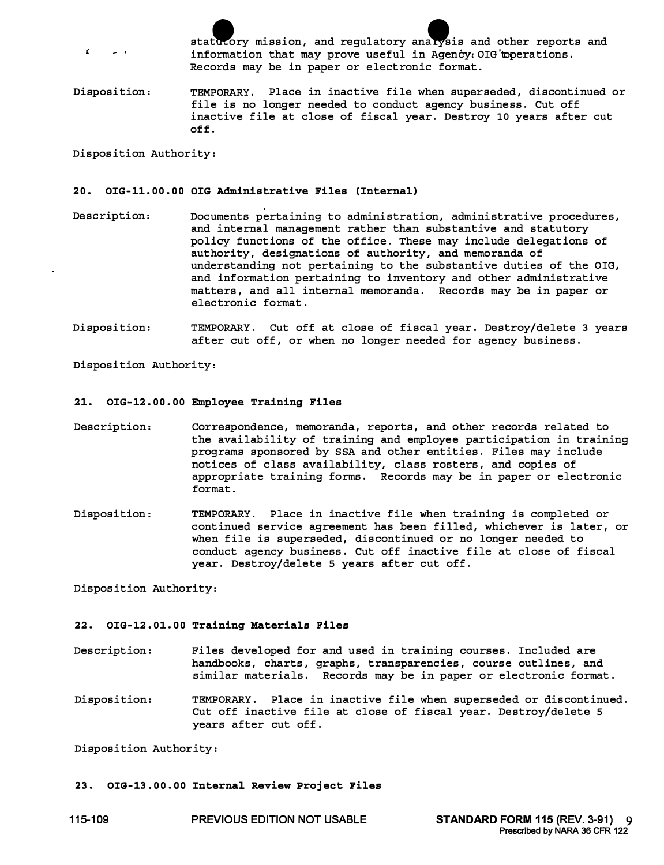statutory mission, and regulatory analysis and other reports and information that may prove useful in Agency  $\Omega$  OIG'toperations. Records may be in paper or electronic format.

Disposition: TEMPORARY. Place in inactive file when superseded, discontinued or file is no longer needed to conduct agency business. Cut off inactive file at close of fiscal year. Destroy 10 years after cut off.

Disposition Authority:

 $\epsilon$ 

## **20. [OIG-11.00.00](https://OIG-11.00.00) OIG Administrative Files (Internal)**

- Description: Documents pertaining to administration, administrative procedures, and internal management rather than substantive and statutory policy functions of the office. These may include delegations of authority, designations of authority, and memoranda of understanding not pertaining to the substantive duties of the OIG, and information pertaining to inventory and other administrative matters, and all internal memoranda. Records may be in paper or electronic format.
- Disposition: TEMPORARY. Cut off at close of fiscal year. Destroy/delete 3 years after cut off, or when no longer needed for agency business.

Disposition Authority:

### **21. [OIG-12.00.00](https://OIG-12.00.00) Employee Training Files**

- Description: Correspondence, memoranda, reports, and other records related to the availability of training and employee participation in training programs sponsored by SSA and other entities. Files may include notices of class availability, class rosters, and copies of appropriate training forms. Records may be in paper or electronic format.
- Disposition: TEMPORARY. Place in inactive file when training is completed or continued service agreement has been filled, whichever is later, or when file is superseded, discontinued or no longer needed to conduct agency business. Cut off inactive file at close of fiscal year. Destroy/delete 5 years after cut off.

Disposition Authority:

### **22. [OIG-12.01.00](https://OIG-12.01.00) Training Materials Files**

- Description: Files developed for and used in training courses. Included are handbooks, charts, graphs, transparencies, course outlines, and similar materials. Records may be in paper or electronic format.
- Disposition: TEMPORARY. Place in inactive file when superseded or discontinued. Cut off inactive file at close of fiscal year. Destroy/delete 5 years after cut off.

Disposition Authority:

## **23. [OIG-13.00.00](https://OIG-13.00.00) Internal Review Project Files**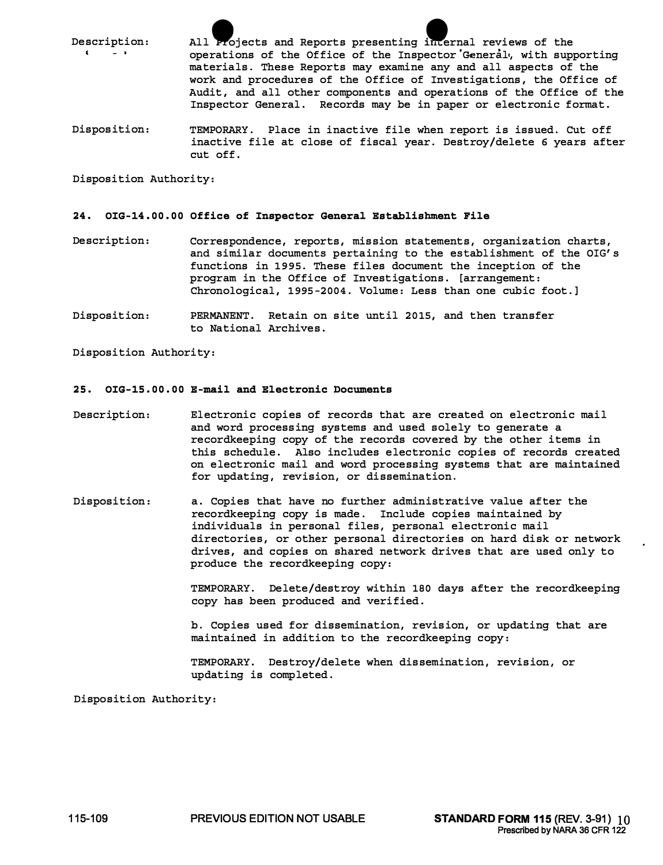Description: All Projects and Reports presenting internal reviews of the operations of the Office of the Inspector 'General•, with supporting materials. These Reports may examine any and all aspects of the work and procedures of the Office of Investigations, the Office of Audit, and all other components and operations of the Office of the Inspector General. Records may be in paper or electronic format.

Disposition: TEMPORARY. Place in inactive file when report is issued. Cut off inactive file at close of fiscal year. Destroy/delete 6 years after cut off.

Disposition Authority:

#### **24. [OIG-14.00.](https://OIG-14.00) 00 Office of Inspector General Establishment File**

- Description: Correspondence, reports, mission statements, organization charts, and similar documents pertaining to the establishment of the OIG's functions in 1995. These files document the inception of the program in the Office of Investigations. [arrangement: Chronological, 1995-2004. Volume: Less than one cubic foot.]
- Disposition: PERMANENT. Retain on site until 2015, and then transfer to National Archives.

Disposition Authority:

#### **25. [OIG-15.00.00](https://OIG-15.00.00) E-mail and Electronic Documents**

- Description: Electronic copies of records that are created on electronic mail and word processing systems and used solely to generate a recordkeeping copy of the records covered by the other items in this schedule. Also includes electronic copies of records created on electronic mail and word processing systems that are maintained for updating, revision, or dissemination.
- Disposition: a. Copies that have no further administrative value after the recordkeeping copy is made. Include copies maintained by individuals in personal files, personal electronic mail directories, or other personal directories on hard disk or network drives, and copies on shared network drives that are used only to produce the recordkeeping copy:

TEMPORARY. Delete/destroy within 180 days after the recordkeeping copy has been produced and verified.

b. Copies used for dissemination, revision, or updating that are maintained in addition to the recordkeeping copy:

TEMPORARY. Destroy/delete when dissemination, revision, or updating is completed.

Disposition Authority: